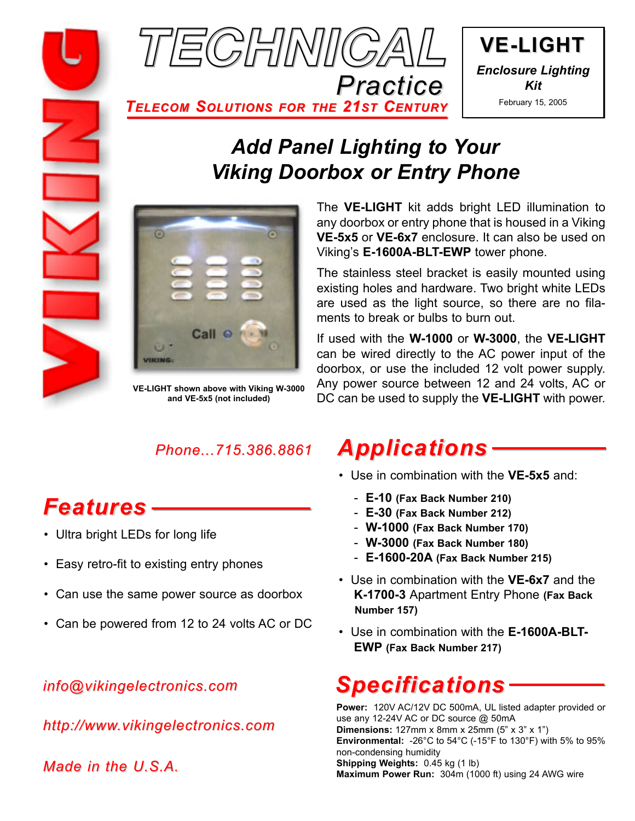



*TELECOM SOLUTIONS FOR THE 21ST CENTURY*

## *Add Panel Lighting to Your Viking Doorbox or Entry Phone*



**VE-LIGHT shown above with Viking W-3000 and VE-5x5 (not included)**

*Phone...715.386.8861*

# *Features*

- Ultra bright LEDs for long life
- Easy retro-fit to existing entry phones
- Can use the same power source as doorbox
- Can be powered from 12 to 24 volts AC or DC

### *info@vikingelectronics.com*

*http://www.vikingelectronics.com*

*Made in the U.S.A.*

The **VE-LIGHT** kit adds bright LED illumination to any doorbox or entry phone that is housed in a Viking **VE-5x5** or **VE-6x7** enclosure. It can also be used on Viking's **E-1600A-BLT-EWP** tower phone.

The stainless steel bracket is easily mounted using existing holes and hardware. Two bright white LEDs are used as the light source, so there are no filaments to break or bulbs to burn out.

If used with the **W-1000** or **W-3000**, the **VE-LIGHT** can be wired directly to the AC power input of the doorbox, or use the included 12 volt power supply. Any power source between 12 and 24 volts, AC or DC can be used to supply the **VE-LIGHT** with power.

## *Applications*

- Use in combination with the **VE-5x5** and:
	- **E-10 (Fax Back Number 210)**
	- **E-30 (Fax Back Number 212)**
	- **W-1000 (Fax Back Number 170)**
	- **W-3000 (Fax Back Number 180)**
	- **E-1600-20A (Fax Back Number 215)**
- Use in combination with the **VE-6x7** and the **K-1700-3** Apartment Entry Phone **(Fax Back Number 157)**
- Use in combination with the **E-1600A-BLT-EWP (Fax Back Number 217)**

# *Specifications*

**Power:** 120V AC/12V DC 500mA, UL listed adapter provided or use any 12-24V AC or DC source @ 50mA **Dimensions:** 127mm x 8mm x 25mm (5" x 3" x 1") **Environmental:** -26°C to 54°C (-15°F to 130°F) with 5% to 95% non-condensing humidity **Shipping Weights:** 0.45 kg (1 lb) **Maximum Power Run:** 304m (1000 ft) using 24 AWG wire